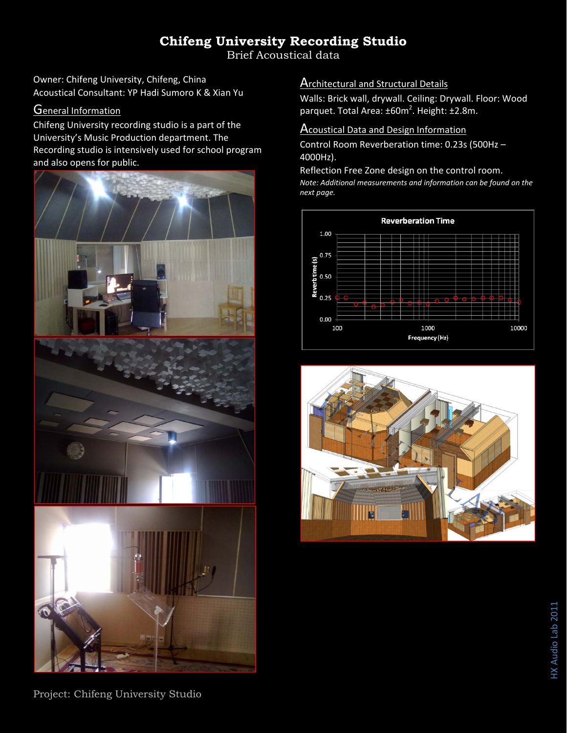# **Chifeng University Recording Studio**

Brief Acoustical data

Owner: Chifeng University, Chifeng, China Acoustical Consultant: YP Hadi Sumoro K & Xian Yu

### **General Information**

Chifeng University recording studio is a part of the University's Music Production department. The Recording studio is intensively used for school program and also opens for public.



**Architectural and Structural Details** 

Walls: Brick wall, drywall. Ceiling: Drywall. Floor: Wood parquet. Total Area: ±60m<sup>2</sup>. Height: ±2.8m.

### **Acoustical Data and Design Information**

Control Room Reverberation time: 0.23s (500Hz – 4000Hz).

Reflection Free Zone design on the control room. *Note: Additional measurements and information can be found on the next page.*





Project: Chifeng University Studio